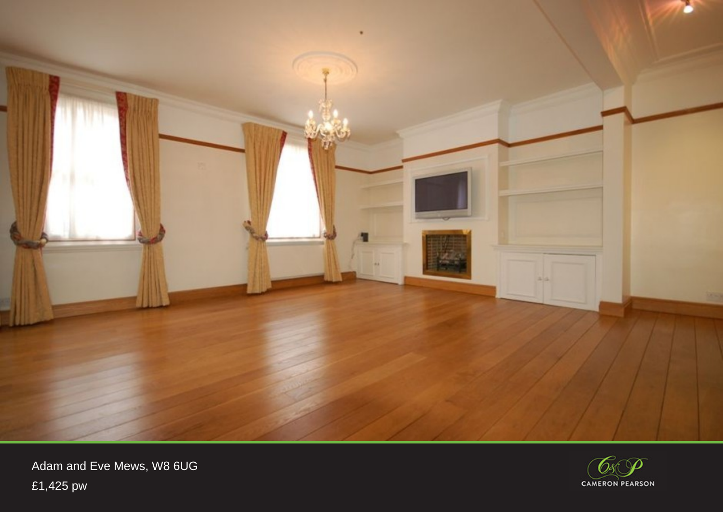

Adam and Eve Mews, W8 6UG £1,425 pw

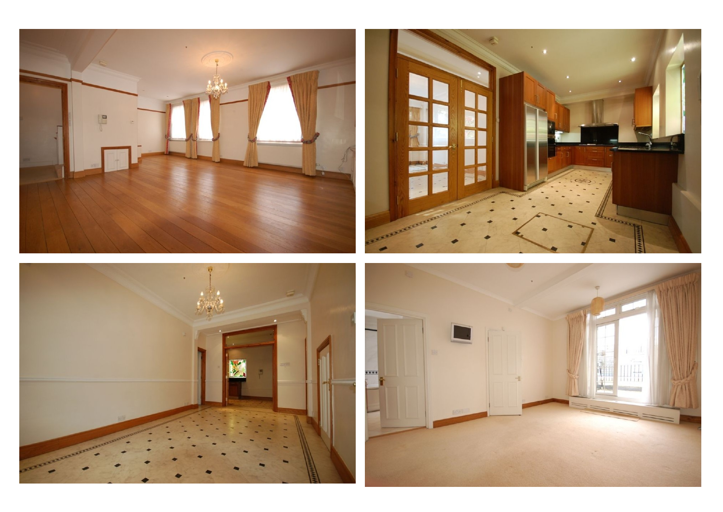





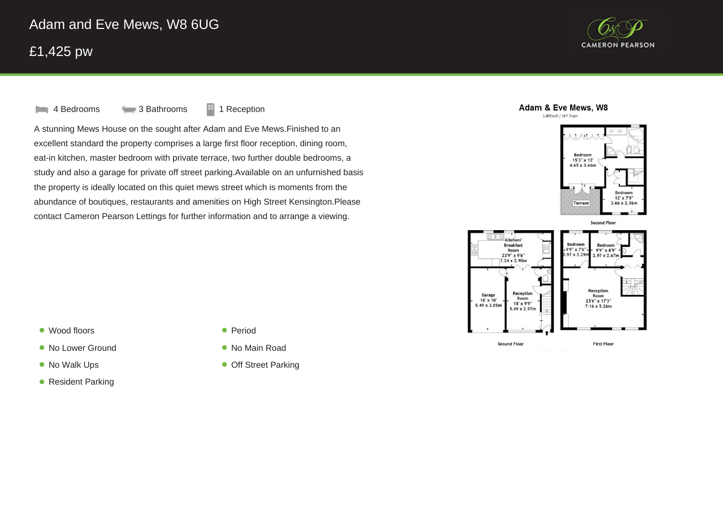## Adam and Eve Mews, W8 6UG

## £1,425 pw



4 Bedrooms 3 Bathrooms 1 Reception **be** 

A stunning Mews House on the sought after Adam and Eve Mews.Finished to an excellent standard the property comprises a large first floor reception, dining room, eat-in kitchen, master bedroom with private terrace, two further double bedrooms, a study and also a garage for private off street parking.Available on an unfurnished basis the property is ideally located on this quiet mews street which is moments from the abundance of boutiques, restaurants and amenities on High Street Kensington.Please contact Cameron Pearson Lettings for further information and to arrange a viewing.



Second Floor



- Wood floors Period •
- No Lower Ground **Communist Communist Communist Communist Communist Communist Communist Communist Communist Communist Communist Communist Communist Communist Communist Communist Communist Communist Communist Communist Com**
- No Walk Ups
- Resident Parking
- 
- 
- **Off Street Parking**